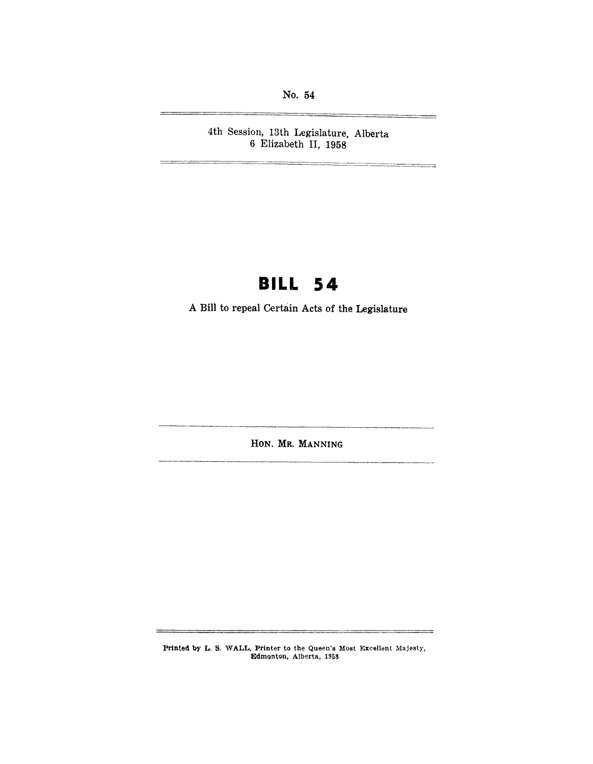No. 54

4th Session, 13th Legislature, Alberta 6 Elizabeth II, 1958

## **BILL 54**

A Bill to repeal Certain Acts of the Legislature

HON. MR. MANNING

Printed by L. S. WALL, Printer to the Queen's Most Excellent Majesty. Edmonton, Alberta, 1958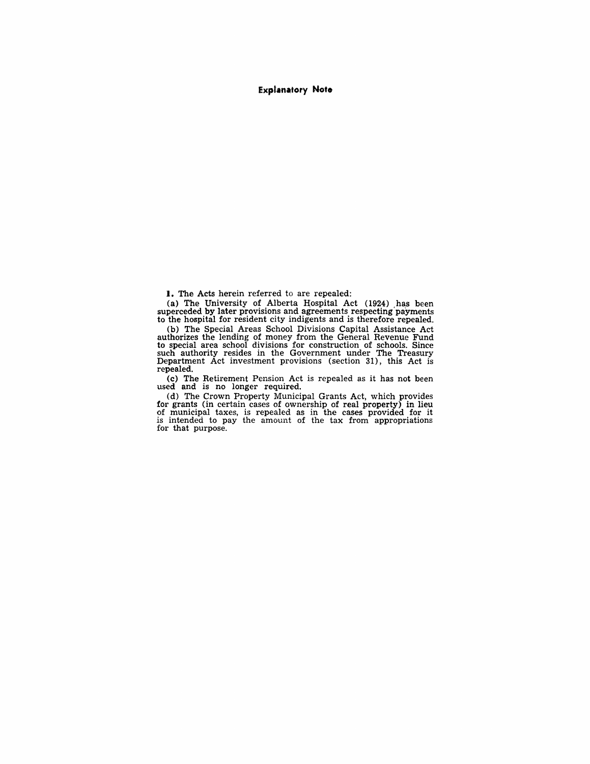**Explanatory Note** 

**I.** The Acts herein referred to are repealed:

(a) The University of Alberta Hospital Act (1924) has been superceded by later provisions and agreements respecting'payments to the hospital for resident city indigents and is therefore repealed.

(b) The Special Areas School Divisions Capital Assistance Act authorizes the lending of money from the General Revenue Fund to special area school divisions for construction of schools. Since such authority resides in the Government under The Treasury Department Act investment provisions (section 31), this Act is repealed.

(c) The Retirement Pension Act is repealed as it has not been used and is no longer required.

(d) The Crown Property Municipal Grants Act, which provides for grants (in certain cases of ownership of real property) in lieu of municipal taxes, is repealed as in the cases provided for it is intended to pay the amount of the tax from appropriations for that purpose.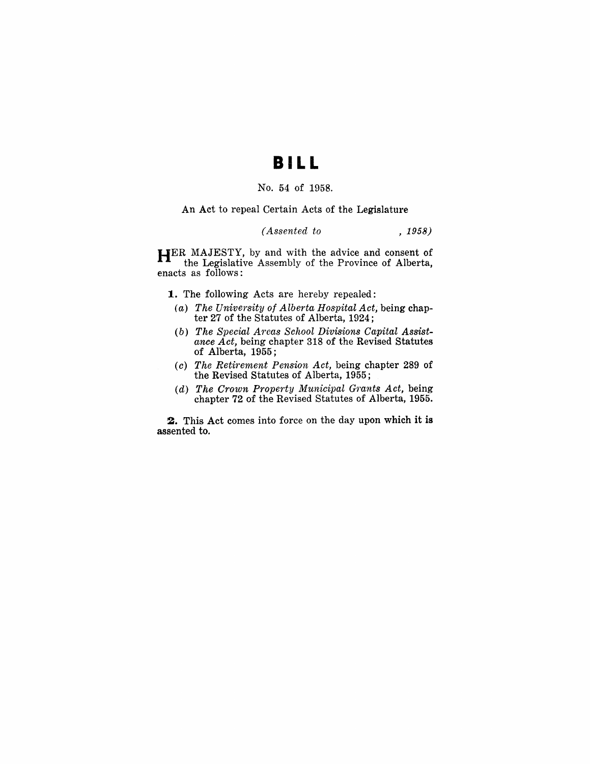### **BI L L**

#### No. 54 of 1958.

#### An Act to repeal Certain Acts of the Legislature

#### *(Assented to* , 1958)

HER MAJESTY, by and with the advice and consent of the Legislative Assembly of the Province of Alberta, enacts as follows:

1. The following Acts are hereby repealed:

- *(a) The University of Alberta Hospital Act,* being chapter 27 of the Statutes of Alberta, 1924;
- *(b) The Special Areas School Divisions Capital Assistance Act,* being chapter 318 of the Revised Statutes of Alberta, 1955;
- *(c) The Retirement Pension Act,* being chapter 289 of the Revised Statutes of Alberta, 1955;
- *(d) The Croton Property Municipal Grants Act,* being chapter 72 of the Revised Statutes of Alberta, 1955.

2. This Act comes into force on the day upon which it is assented to.